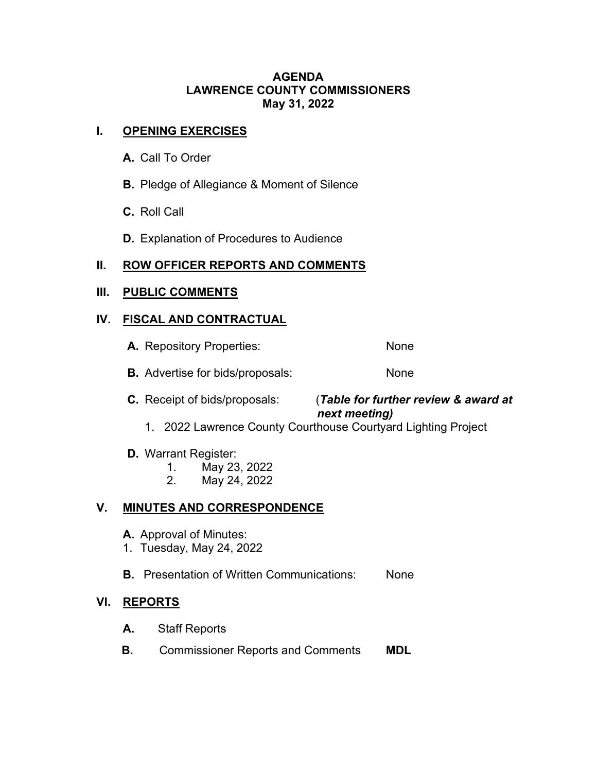#### **AGENDA LAWRENCE COUNTY COMMISSIONERS May 31, 2022**

## **I. OPENING EXERCISES**

- **A.** Call To Order
- **B.** Pledge of Allegiance & Moment of Silence
- **C.** Roll Call
- **D.** Explanation of Procedures to Audience

# **II. ROW OFFICER REPORTS AND COMMENTS**

#### **III. PUBLIC COMMENTS**

#### **IV. FISCAL AND CONTRACTUAL**

- A. Repository Properties: None
- **B.** Advertise for bids/proposals: None

#### **C.** Receipt of bids/proposals: (*Table for further review & award at next meeting)*

- 1. 2022 Lawrence County Courthouse Courtyard Lighting Project
- **D.** Warrant Register:
	- 1. May 23, 2022
	- 2. May 24, 2022

# **V. MINUTES AND CORRESPONDENCE**

- **A.** Approval of Minutes:
- 1. Tuesday, May 24, 2022
- **B.** Presentation of Written Communications: None

#### **VI. REPORTS**

- **A.** Staff Reports
- **B.** Commissioner Reports and Comments **MDL**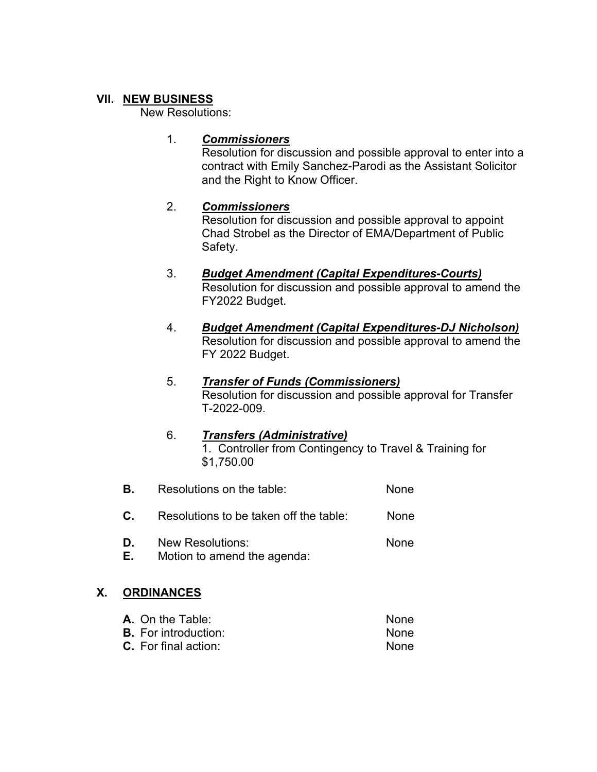## **VII. NEW BUSINESS**

New Resolutions:

## 1. *Commissioners*

Resolution for discussion and possible approval to enter into a contract with Emily Sanchez-Parodi as the Assistant Solicitor and the Right to Know Officer.

# 2. *Commissioners*

Resolution for discussion and possible approval to appoint Chad Strobel as the Director of EMA/Department of Public Safety.

- 3. *Budget Amendment (Capital Expenditures-Courts)* Resolution for discussion and possible approval to amend the FY2022 Budget.
- 4. *Budget Amendment (Capital Expenditures-DJ Nicholson)* Resolution for discussion and possible approval to amend the FY 2022 Budget.

#### 5. *Transfer of Funds (Commissioners)* Resolution for discussion and possible approval for Transfer T-2022-009.

#### 6. *Transfers (Administrative)* 1. Controller from Contingency to Travel & Training for \$1,750.00

- **B.** Resolutions on the table: None
- **C.** Resolutions to be taken off the table: None
- **D.** New Resolutions: None
- **E.** Motion to amend the agenda:

# **X. ORDINANCES**

| <b>A.</b> On the Table:     | None. |
|-----------------------------|-------|
| <b>B.</b> For introduction: | None. |
| $C.$ For final action:      | None  |